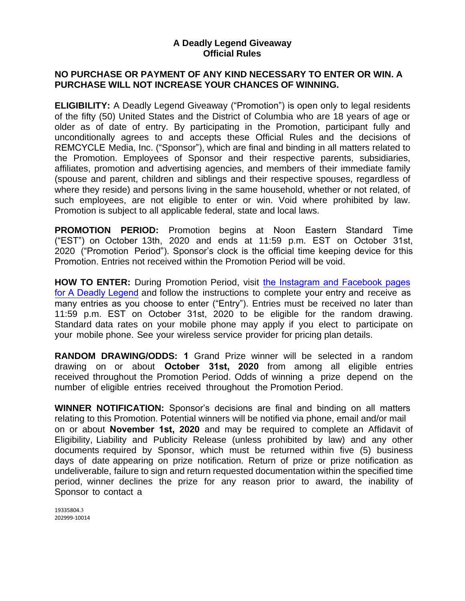#### **A Deadly Legend Giveaway Official Rules**

## **NO PURCHASE OR PAYMENT OF ANY KIND NECESSARY TO ENTER OR WIN. A PURCHASE WILL NOT INCREASE YOUR CHANCES OF WINNING.**

**ELIGIBILITY:** A Deadly Legend Giveaway ("Promotion") is open only to legal residents of the fifty (50) United States and the District of Columbia who are 18 years of age or older as of date of entry. By participating in the Promotion, participant fully and unconditionally agrees to and accepts these Official Rules and the decisions of REMCYCLE Media, Inc. ("Sponsor"), which are final and binding in all matters related to the Promotion. Employees of Sponsor and their respective parents, subsidiaries, affiliates, promotion and advertising agencies, and members of their immediate family (spouse and parent, children and siblings and their respective spouses, regardless of where they reside) and persons living in the same household, whether or not related, of such employees, are not eligible to enter or win. Void where prohibited by law. Promotion is subject to all applicable federal, state and local laws.

**PROMOTION PERIOD:** Promotion begins at Noon Eastern Standard Time ("EST") on October 13th, 2020 and ends at 11:59 p.m. EST on October 31st, 2020 ("Promotion Period"). Sponsor's clock is the official time keeping device for this Promotion. Entries not received within the Promotion Period will be void.

**HOW TO ENTER:** During Promotion Period, visit [the Instagram and Facebook pages](http://www.adeadlylegend.com/)  for A Deadly Legend and follow the instructions to complete your entry and receive as many entries as you choose to enter ("Entry"). Entries must be received no later than 11:59 p.m. EST on October 31st, 2020 to be eligible for the random drawing. Standard data rates on your mobile phone may apply if you elect to participate on your mobile phone. See your wireless service provider for pricing plan details.

**RANDOM DRAWING/ODDS: 1** Grand Prize winner will be selected in a random drawing on or about **October 31st, 2020** from among all eligible entries received throughout the Promotion Period. Odds of winning a prize depend on the number of eligible entries received throughout the Promotion Period.

**WINNER NOTIFICATION:** Sponsor's decisions are final and binding on all matters relating to this Promotion. Potential winners will be notified via phone, email and/or mail on or about **November 1st, 2020** and may be required to complete an Affidavit of Eligibility, Liability and Publicity Release (unless prohibited by law) and any other documents required by Sponsor, which must be returned within five (5) business days of date appearing on prize notification. Return of prize or prize notification as undeliverable, failure to sign and return requested documentation within the specified time period, winner declines the prize for any reason prior to award, the inability of Sponsor to contact a

19335804.3 202999-10014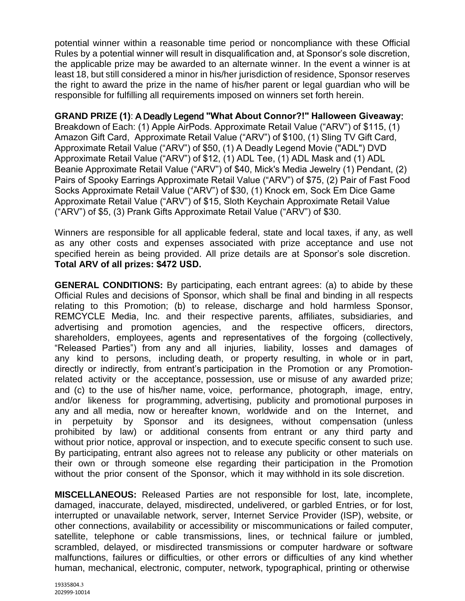potential winner within a reasonable time period or noncompliance with these Official Rules by a potential winner will result in disqualification and, at Sponsor's sole discretion, the applicable prize may be awarded to an alternate winner. In the event a winner is at least 18, but still considered a minor in his/her jurisdiction of residence, Sponsor reserves the right to award the prize in the name of his/her parent or legal guardian who will be responsible for fulfilling all requirements imposed on winners set forth herein.

## **GRAND PRIZE (1)**: A Deadly Legend **"What About Connor?!" Halloween Giveaway**:

Breakdown of Each: (1) Apple AirPods. Approximate Retail Value ("ARV") of \$115, (1) Amazon Gift Card, Approximate Retail Value ("ARV") of \$100, (1) Sling TV Gift Card, Approximate Retail Value ("ARV") of \$50, (1) A Deadly Legend Movie ("ADL") DVD Approximate Retail Value ("ARV") of \$12, (1) ADL Tee, (1) ADL Mask and (1) ADL Beanie Approximate Retail Value ("ARV") of \$40, Mick's Media Jewelry (1) Pendant, (2) Pairs of Spooky Earrings Approximate Retail Value ("ARV") of \$75, (2) Pair of Fast Food Socks Approximate Retail Value ("ARV") of \$30, (1) Knock em, Sock Em Dice Game Approximate Retail Value ("ARV") of \$15, Sloth Keychain Approximate Retail Value ("ARV") of \$5, (3) Prank Gifts Approximate Retail Value ("ARV") of \$30.

Winners are responsible for all applicable federal, state and local taxes, if any, as well as any other costs and expenses associated with prize acceptance and use not specified herein as being provided. All prize details are at Sponsor's sole discretion. **Total ARV of all prizes: \$472 USD.**

**GENERAL CONDITIONS:** By participating, each entrant agrees: (a) to abide by these Official Rules and decisions of Sponsor, which shall be final and binding in all respects relating to this Promotion; (b) to release, discharge and hold harmless Sponsor, REMCYCLE Media, Inc. and their respective parents, affiliates, subsidiaries, and advertising and promotion agencies, and the respective officers, directors, shareholders, employees, agents and representatives of the forgoing (collectively, "Released Parties") from any and all injuries, liability, losses and damages of any kind to persons, including death, or property resulting, in whole or in part, directly or indirectly, from entrant's participation in the Promotion or any Promotionrelated activity or the acceptance, possession, use or misuse of any awarded prize; and (c) to the use of his/her name, voice, performance, photograph, image, entry, and/or likeness for programming, advertising, publicity and promotional purposes in any and all media, now or hereafter known, worldwide and on the Internet, and in perpetuity by Sponsor and its designees, without compensation (unless prohibited by law) or additional consents from entrant or any third party and without prior notice, approval or inspection, and to execute specific consent to such use. By participating, entrant also agrees not to release any publicity or other materials on their own or through someone else regarding their participation in the Promotion without the prior consent of the Sponsor, which it may withhold in its sole discretion.

**MISCELLANEOUS:** Released Parties are not responsible for lost, late, incomplete, damaged, inaccurate, delayed, misdirected, undelivered, or garbled Entries, or for lost, interrupted or unavailable network, server, Internet Service Provider (ISP), website, or other connections, availability or accessibility or miscommunications or failed computer, satellite, telephone or cable transmissions, lines, or technical failure or jumbled, scrambled, delayed, or misdirected transmissions or computer hardware or software malfunctions, failures or difficulties, or other errors or difficulties of any kind whether human, mechanical, electronic, computer, network, typographical, printing or otherwise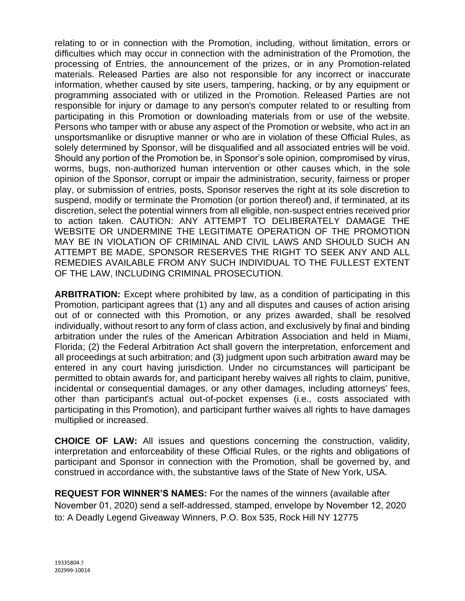relating to or in connection with the Promotion, including, without limitation, errors or difficulties which may occur in connection with the administration of the Promotion, the processing of Entries, the announcement of the prizes, or in any Promotion-related materials. Released Parties are also not responsible for any incorrect or inaccurate information, whether caused by site users, tampering, hacking, or by any equipment or programming associated with or utilized in the Promotion. Released Parties are not responsible for injury or damage to any person's computer related to or resulting from participating in this Promotion or downloading materials from or use of the website. Persons who tamper with or abuse any aspect of the Promotion or website, who act in an unsportsmanlike or disruptive manner or who are in violation of these Official Rules, as solely determined by Sponsor, will be disqualified and all associated entries will be void. Should any portion of the Promotion be, in Sponsor's sole opinion, compromised by virus, worms, bugs, non-authorized human intervention or other causes which, in the sole opinion of the Sponsor, corrupt or impair the administration, security, fairness or proper play, or submission of entries, posts, Sponsor reserves the right at its sole discretion to suspend, modify or terminate the Promotion (or portion thereof) and, if terminated, at its discretion, select the potential winners from all eligible, non-suspect entries received prior to action taken. CAUTION: ANY ATTEMPT TO DELIBERATELY DAMAGE THE WEBSITE OR UNDERMINE THE LEGITIMATE OPERATION OF THE PROMOTION MAY BE IN VIOLATION OF CRIMINAL AND CIVIL LAWS AND SHOULD SUCH AN ATTEMPT BE MADE, SPONSOR RESERVES THE RIGHT TO SEEK ANY AND ALL REMEDIES AVAILABLE FROM ANY SUCH INDIVIDUAL TO THE FULLEST EXTENT OF THE LAW, INCLUDING CRIMINAL PROSECUTION.

**ARBITRATION:** Except where prohibited by law, as a condition of participating in this Promotion, participant agrees that (1) any and all disputes and causes of action arising out of or connected with this Promotion, or any prizes awarded, shall be resolved individually, without resort to any form of class action, and exclusively by final and binding arbitration under the rules of the American Arbitration Association and held in Miami, Florida; (2) the Federal Arbitration Act shall govern the interpretation, enforcement and all proceedings at such arbitration; and (3) judgment upon such arbitration award may be entered in any court having jurisdiction. Under no circumstances will participant be permitted to obtain awards for, and participant hereby waives all rights to claim, punitive, incidental or consequential damages, or any other damages, including attorneys' fees, other than participant's actual out-of-pocket expenses (i.e., costs associated with participating in this Promotion), and participant further waives all rights to have damages multiplied or increased.

**CHOICE OF LAW:** All issues and questions concerning the construction, validity, interpretation and enforceability of these Official Rules, or the rights and obligations of participant and Sponsor in connection with the Promotion, shall be governed by, and construed in accordance with, the substantive laws of the State of New York, USA.

**REQUEST FOR WINNER'S NAMES:** For the names of the winners (available after November 01, 2020) send a self-addressed, stamped, envelope by November 12, 2020 to: A Deadly Legend Giveaway Winners, P.O. Box 535, Rock Hill NY 12775